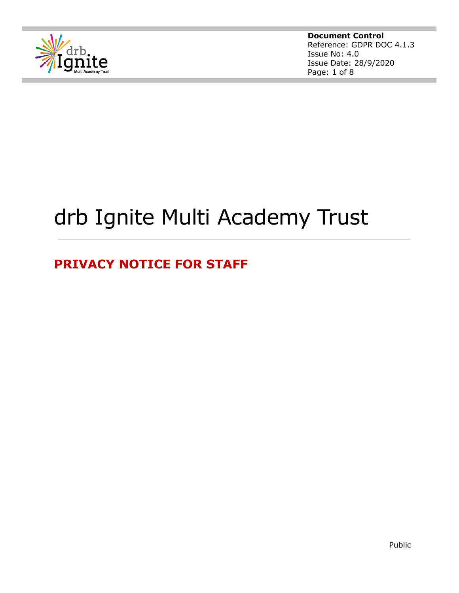

**Document Control** Reference: GDPR DOC 4.1.3 Issue No: 4.0 Issue Date: 28/9/2020 Page: 1 of 8

# drb Ignite Multi Academy Trust

## **PRIVACY NOTICE FOR STAFF**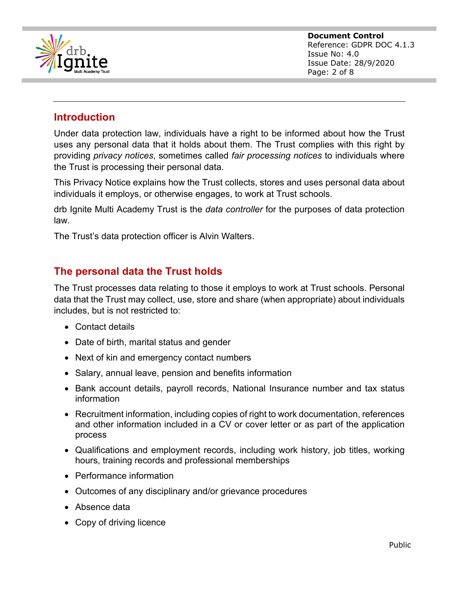

### **Introduction**

Under data protection law, individuals have a right to be informed about how the Trust uses any personal data that it holds about them. The Trust complies with this right by providing *privacy notices*, sometimes called *fair processing notices* to individuals where the Trust is processing their personal data.

This Privacy Notice explains how the Trust collects, stores and uses personal data about individuals it employs, or otherwise engages, to work at Trust schools.

drb Ignite Multi Academy Trust is the *data controller* for the purposes of data protection law.

The Trust's data protection officer is Alvin Walters.

## **The personal data the Trust holds**

The Trust processes data relating to those it employs to work at Trust schools. Personal data that the Trust may collect, use, store and share (when appropriate) about individuals includes, but is not restricted to:

- Contact details
- Date of birth, marital status and gender
- Next of kin and emergency contact numbers
- Salary, annual leave, pension and benefits information
- Bank account details, payroll records, National Insurance number and tax status information
- Recruitment information, including copies of right to work documentation, references and other information included in a CV or cover letter or as part of the application process
- Qualifications and employment records, including work history, job titles, working hours, training records and professional memberships
- Performance information
- Outcomes of any disciplinary and/or grievance procedures
- Absence data
- Copy of driving licence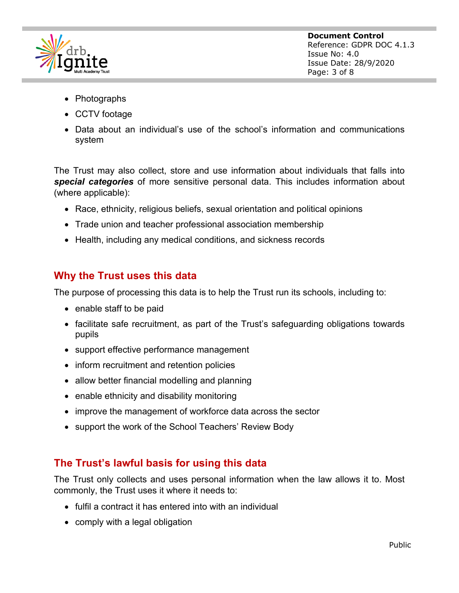

- Photographs
- CCTV footage
- Data about an individual's use of the school's information and communications system

The Trust may also collect, store and use information about individuals that falls into *special categories* of more sensitive personal data. This includes information about (where applicable):

- Race, ethnicity, religious beliefs, sexual orientation and political opinions
- Trade union and teacher professional association membership
- Health, including any medical conditions, and sickness records

## **Why the Trust uses this data**

The purpose of processing this data is to help the Trust run its schools, including to:

- enable staff to be paid
- facilitate safe recruitment, as part of the Trust's safeguarding obligations towards pupils
- support effective performance management
- inform recruitment and retention policies
- allow better financial modelling and planning
- enable ethnicity and disability monitoring
- improve the management of workforce data across the sector
- support the work of the School Teachers' Review Body

## **The Trust's lawful basis for using this data**

The Trust only collects and uses personal information when the law allows it to. Most commonly, the Trust uses it where it needs to:

- fulfil a contract it has entered into with an individual
- comply with a legal obligation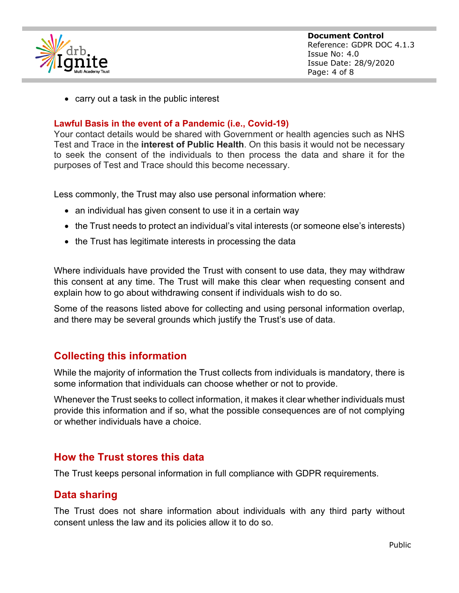

• carry out a task in the public interest

#### **Lawful Basis in the event of a Pandemic (i.e., Covid-19)**

Your contact details would be shared with Government or health agencies such as NHS Test and Trace in the **interest of Public Health**. On this basis it would not be necessary to seek the consent of the individuals to then process the data and share it for the purposes of Test and Trace should this become necessary.

Less commonly, the Trust may also use personal information where:

- an individual has given consent to use it in a certain way
- the Trust needs to protect an individual's vital interests (or someone else's interests)
- the Trust has legitimate interests in processing the data

Where individuals have provided the Trust with consent to use data, they may withdraw this consent at any time. The Trust will make this clear when requesting consent and explain how to go about withdrawing consent if individuals wish to do so.

Some of the reasons listed above for collecting and using personal information overlap, and there may be several grounds which justify the Trust's use of data.

#### **Collecting this information**

While the majority of information the Trust collects from individuals is mandatory, there is some information that individuals can choose whether or not to provide.

Whenever the Trust seeks to collect information, it makes it clear whether individuals must provide this information and if so, what the possible consequences are of not complying or whether individuals have a choice.

#### **How the Trust stores this data**

The Trust keeps personal information in full compliance with GDPR requirements.

#### **Data sharing**

The Trust does not share information about individuals with any third party without consent unless the law and its policies allow it to do so.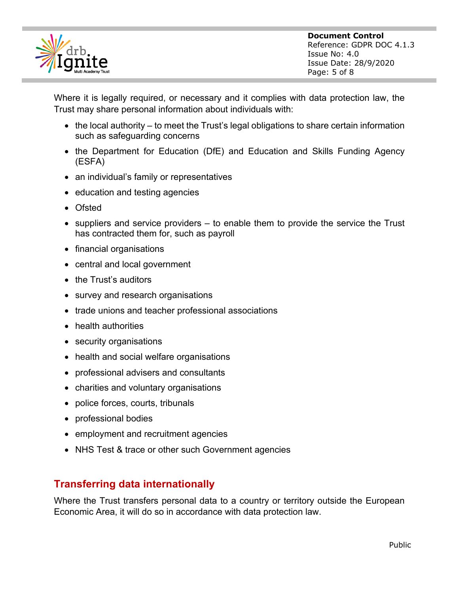

Where it is legally required, or necessary and it complies with data protection law, the Trust may share personal information about individuals with:

- the local authority to meet the Trust's legal obligations to share certain information such as safeguarding concerns
- the Department for Education (DfE) and Education and Skills Funding Agency (ESFA)
- an individual's family or representatives
- education and testing agencies
- Ofsted
- suppliers and service providers to enable them to provide the service the Trust has contracted them for, such as payroll
- financial organisations
- central and local government
- the Trust's auditors
- survey and research organisations
- trade unions and teacher professional associations
- health authorities
- security organisations
- health and social welfare organisations
- professional advisers and consultants
- charities and voluntary organisations
- police forces, courts, tribunals
- professional bodies
- employment and recruitment agencies
- NHS Test & trace or other such Government agencies

## **Transferring data internationally**

Where the Trust transfers personal data to a country or territory outside the European Economic Area, it will do so in accordance with data protection law.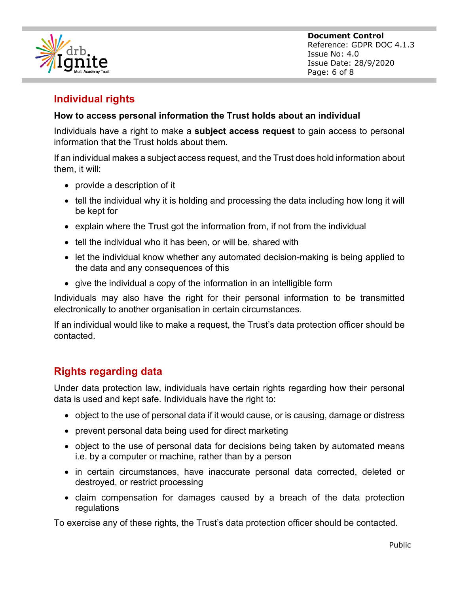

## **Individual rights**

#### **How to access personal information the Trust holds about an individual**

Individuals have a right to make a **subject access request** to gain access to personal information that the Trust holds about them.

If an individual makes a subject access request, and the Trust does hold information about them, it will:

- provide a description of it
- tell the individual why it is holding and processing the data including how long it will be kept for
- explain where the Trust got the information from, if not from the individual
- tell the individual who it has been, or will be, shared with
- let the individual know whether any automated decision-making is being applied to the data and any consequences of this
- give the individual a copy of the information in an intelligible form

Individuals may also have the right for their personal information to be transmitted electronically to another organisation in certain circumstances.

If an individual would like to make a request, the Trust's data protection officer should be contacted.

## **Rights regarding data**

Under data protection law, individuals have certain rights regarding how their personal data is used and kept safe. Individuals have the right to:

- object to the use of personal data if it would cause, or is causing, damage or distress
- prevent personal data being used for direct marketing
- object to the use of personal data for decisions being taken by automated means i.e. by a computer or machine, rather than by a person
- in certain circumstances, have inaccurate personal data corrected, deleted or destroyed, or restrict processing
- claim compensation for damages caused by a breach of the data protection regulations

To exercise any of these rights, the Trust's data protection officer should be contacted.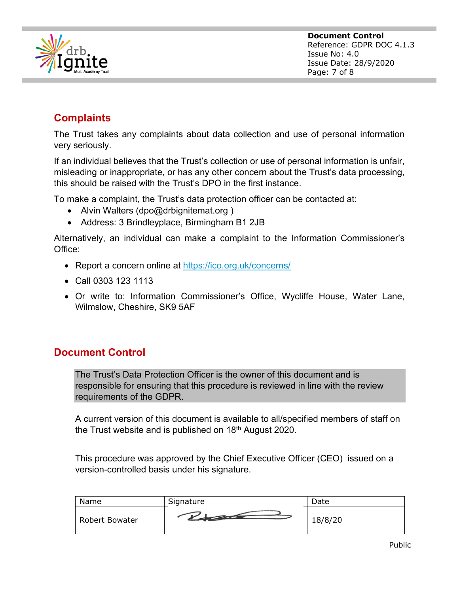

## **Complaints**

The Trust takes any complaints about data collection and use of personal information very seriously.

If an individual believes that the Trust's collection or use of personal information is unfair, misleading or inappropriate, or has any other concern about the Trust's data processing, this should be raised with the Trust's DPO in the first instance.

To make a complaint, the Trust's data protection officer can be contacted at:

- Alvin Walters (dpo@drbignitemat.org)
- Address: 3 Brindleyplace, Birmingham B1 2JB

Alternatively, an individual can make a complaint to the Information Commissioner's Office:

- Report a concern online at https://ico.org.uk/concerns/
- Call 0303 123 1113
- Or write to: Information Commissioner's Office, Wycliffe House, Water Lane, Wilmslow, Cheshire, SK9 5AF

## **Document Control**

The Trust's Data Protection Officer is the owner of this document and is responsible for ensuring that this procedure is reviewed in line with the review requirements of the GDPR.

A current version of this document is available to all/specified members of staff on the Trust website and is published on  $18<sup>th</sup>$  August 2020.

This procedure was approved by the Chief Executive Officer (CEO) issued on a version-controlled basis under his signature.

| Name                  | Signature | Date    |
|-----------------------|-----------|---------|
| <b>Robert Bowater</b> |           | 18/8/20 |